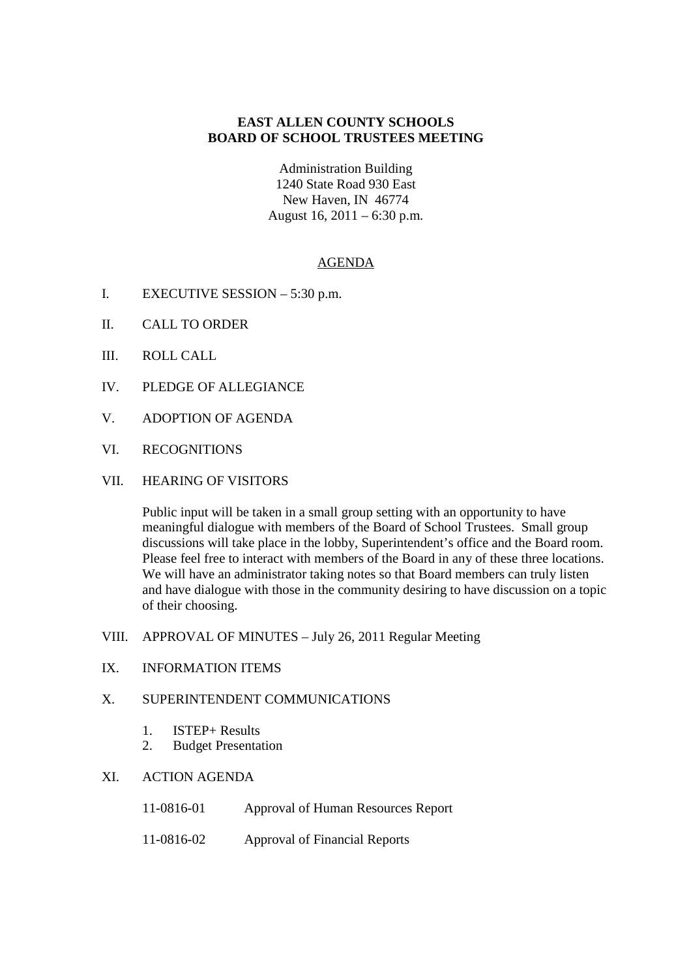# **EAST ALLEN COUNTY SCHOOLS BOARD OF SCHOOL TRUSTEES MEETING**

Administration Building 1240 State Road 930 East New Haven, IN 46774 August 16, 2011 – 6:30 p.m.

## AGENDA

- I. EXECUTIVE SESSION 5:30 p.m.
- II. CALL TO ORDER
- III. ROLL CALL
- IV. PLEDGE OF ALLEGIANCE
- V. ADOPTION OF AGENDA
- VI. RECOGNITIONS
- VII. HEARING OF VISITORS

Public input will be taken in a small group setting with an opportunity to have meaningful dialogue with members of the Board of School Trustees. Small group discussions will take place in the lobby, Superintendent's office and the Board room. Please feel free to interact with members of the Board in any of these three locations. We will have an administrator taking notes so that Board members can truly listen and have dialogue with those in the community desiring to have discussion on a topic of their choosing.

- VIII. APPROVAL OF MINUTES July 26, 2011 Regular Meeting
- IX. INFORMATION ITEMS

## X. SUPERINTENDENT COMMUNICATIONS

- 1. ISTEP+ Results
- 2. Budget Presentation

#### XI. ACTION AGENDA

- 11-0816-01 Approval of Human Resources Report
- 11-0816-02 Approval of Financial Reports